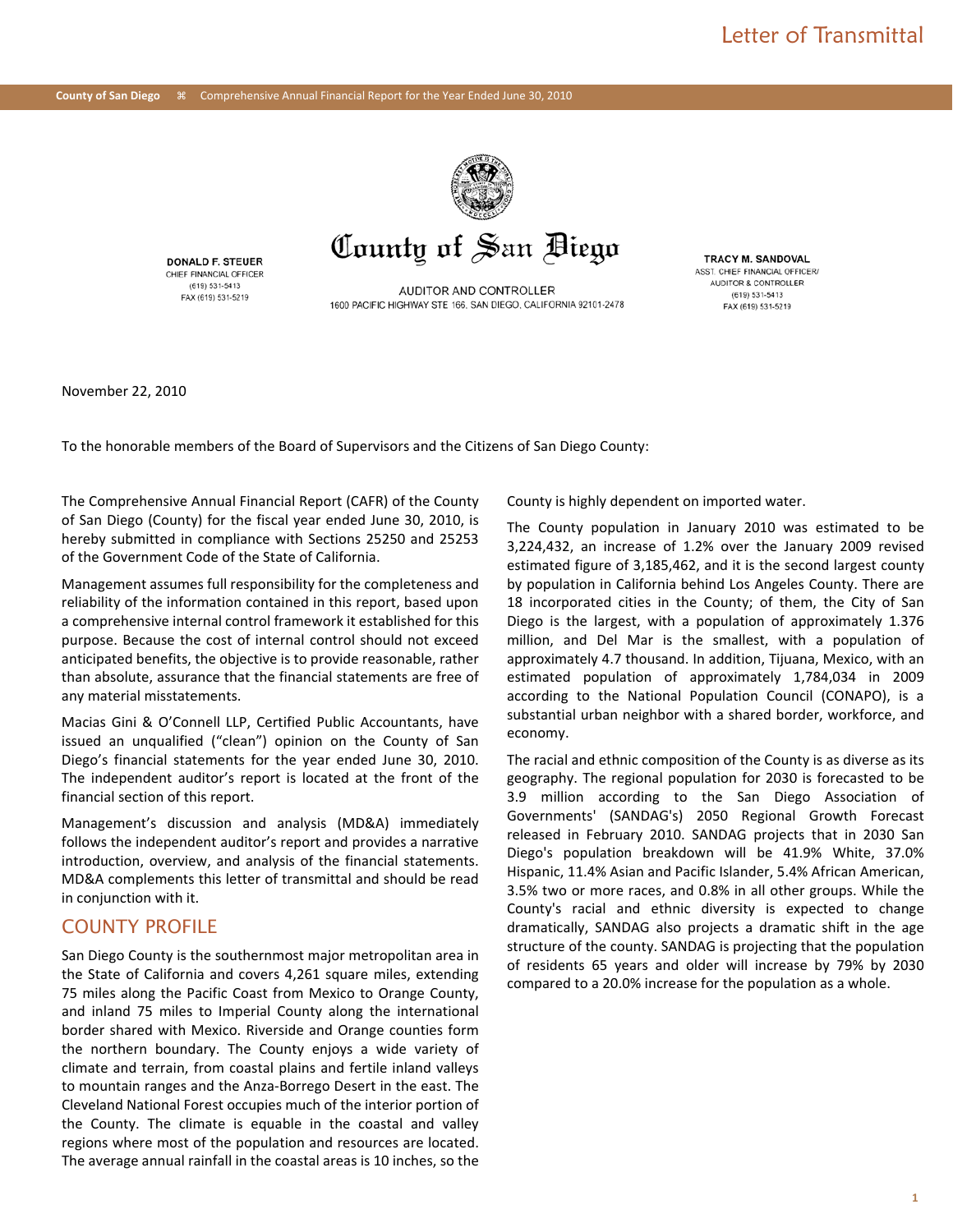

#### **DONALD F. STEUER** CHIEF FINANCIAL OFFICER (619) 531-5413 FAX (619) 531-5219

AUDITOR AND CONTROLLER 1600 PACIFIC HIGHWAY STE 166, SAN DIEGO, CALIFORNIA 92101-2478

**TRACY M. SANDOVAL** ASST. CHIEF FINANCIAL OFFICER AUDITOR & CONTROLLER (619) 531-5413 FAX (619) 531-5219

November 22, 2010

To the honorable members of the Board of Supervisors and the Citizens of San Diego County:

The Comprehensive Annual Financial Report (CAFR) of the County of San Diego (County) for the fiscal year ended June 30, 2010, is hereby submitted in compliance with Sections 25250 and 25253 of the Government Code of the State of California.

Management assumes full responsibility for the completeness and reliability of the information contained in this report, based upon a comprehensive internal control framework it established for this purpose. Because the cost of internal control should not exceed anticipated benefits, the objective is to provide reasonable, rather than absolute, assurance that the financial statements are free of any material misstatements.

Macias Gini & O'Connell LLP, Certified Public Accountants, have issued an unqualified ("clean") opinion on the County of San Diego's financial statements for the year ended June 30, 2010. The independent auditor's report is located at the front of the financial section of this report.

Management's discussion and analysis (MD&A) immediately follows the independent auditor's report and provides a narrative introduction, overview, and analysis of the financial statements. MD&A complements this letter of transmittal and should be read in conjunction with it.

## COUNTY PROFILE

San Diego County is the southernmost major metropolitan area in the State of California and covers 4,261 square miles, extending 75 miles along the Pacific Coast from Mexico to Orange County, and inland 75 miles to Imperial County along the international border shared with Mexico. Riverside and Orange counties form the northern boundary. The County enjoys a wide variety of climate and terrain, from coastal plains and fertile inland valleys to mountain ranges and the Anza-Borrego Desert in the east. The Cleveland National Forest occupies much of the interior portion of the County. The climate is equable in the coastal and valley regions where most of the population and resources are located. The average annual rainfall in the coastal areas is 10 inches, so the County is highly dependent on imported water.

The County population in January 2010 was estimated to be 3,224,432, an increase of 1.2% over the January 2009 revised estimated figure of 3,185,462, and it is the second largest county by population in California behind Los Angeles County. There are 18 incorporated cities in the County; of them, the City of San Diego is the largest, with a population of approximately 1.376 million, and Del Mar is the smallest, with a population of approximately 4.7 thousand. In addition, Tijuana, Mexico, with an estimated population of approximately 1,784,034 in 2009 according to the National Population Council (CONAPO), is a substantial urban neighbor with a shared border, workforce, and economy.

The racial and ethnic composition of the County is as diverse as its geography. The regional population for 2030 is forecasted to be 3.9 million according to the San Diego Association of Governments' (SANDAG's) 2050 Regional Growth Forecast released in February 2010. SANDAG projects that in 2030 San Diego's population breakdown will be 41.9% White, 37.0% Hispanic, 11.4% Asian and Pacific Islander, 5.4% African American, 3.5% two or more races, and 0.8% in all other groups. While the County's racial and ethnic diversity is expected to change dramatically, SANDAG also projects a dramatic shift in the age structure of the county. SANDAG is projecting that the population of residents 65 years and older will increase by 79% by 2030 compared to a 20.0% increase for the population as a whole.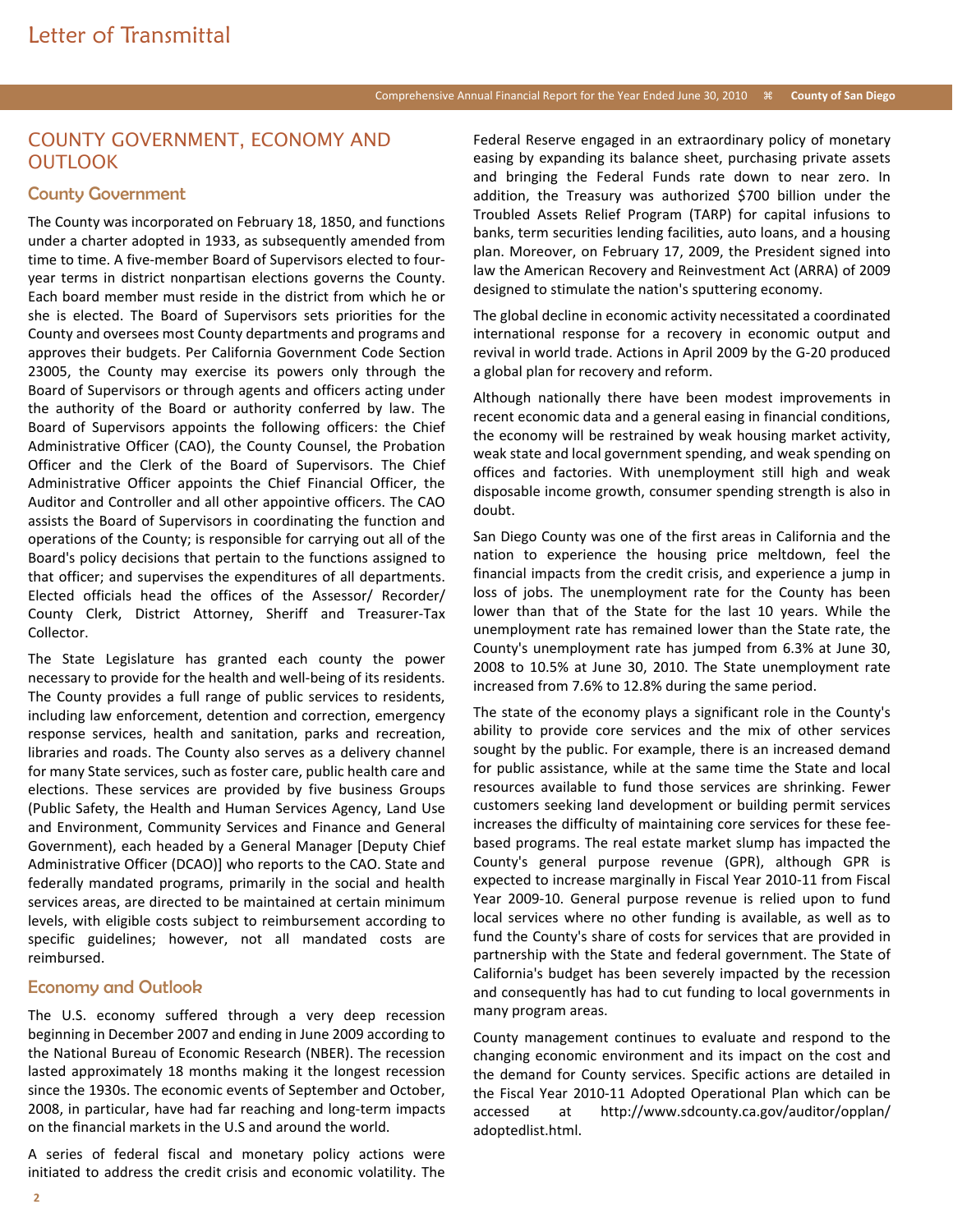## COUNTY GOVERNMENT, ECONOMY AND **OUTLOOK**

### County Government

The County was incorporated on February 18, 1850, and functions under a charter adopted in 1933, as subsequently amended from time to time. A five-member Board of Supervisors elected to fouryear terms in district nonpartisan elections governs the County. Each board member must reside in the district from which he or she is elected. The Board of Supervisors sets priorities for the County and oversees most County departments and programs and approves their budgets. Per California Government Code Section 23005, the County may exercise its powers only through the Board of Supervisors or through agents and officers acting under the authority of the Board or authority conferred by law. The Board of Supervisors appoints the following officers: the Chief Administrative Officer (CAO), the County Counsel, the Probation Officer and the Clerk of the Board of Supervisors. The Chief Administrative Officer appoints the Chief Financial Officer, the Auditor and Controller and all other appointive officers. The CAO assists the Board of Supervisors in coordinating the function and operations of the County; is responsible for carrying out all of the Board's policy decisions that pertain to the functions assigned to that officer; and supervises the expenditures of all departments. Elected officials head the offices of the Assessor/ Recorder/ County Clerk, District Attorney, Sheriff and Treasurer-Tax Collector.

The State Legislature has granted each county the power necessary to provide for the health and well-being of its residents. The County provides a full range of public services to residents, including law enforcement, detention and correction, emergency response services, health and sanitation, parks and recreation, libraries and roads. The County also serves as a delivery channel for many State services, such as foster care, public health care and elections. These services are provided by five business Groups (Public Safety, the Health and Human Services Agency, Land Use and Environment, Community Services and Finance and General Government), each headed by a General Manager [Deputy Chief Administrative Officer (DCAO)] who reports to the CAO. State and federally mandated programs, primarily in the social and health services areas, are directed to be maintained at certain minimum levels, with eligible costs subject to reimbursement according to specific guidelines; however, not all mandated costs are reimbursed.

### Economy and Outlook

The U.S. economy suffered through a very deep recession beginning in December 2007 and ending in June 2009 according to the National Bureau of Economic Research (NBER). The recession lasted approximately 18 months making it the longest recession since the 1930s. The economic events of September and October, 2008, in particular, have had far reaching and long-term impacts on the financial markets in the U.S and around the world.

A series of federal fiscal and monetary policy actions were initiated to address the credit crisis and economic volatility. The Federal Reserve engaged in an extraordinary policy of monetary easing by expanding its balance sheet, purchasing private assets and bringing the Federal Funds rate down to near zero. In addition, the Treasury was authorized \$700 billion under the Troubled Assets Relief Program (TARP) for capital infusions to banks, term securities lending facilities, auto loans, and a housing plan. Moreover, on February 17, 2009, the President signed into law the American Recovery and Reinvestment Act (ARRA) of 2009 designed to stimulate the nation's sputtering economy.

The global decline in economic activity necessitated a coordinated international response for a recovery in economic output and revival in world trade. Actions in April 2009 by the G-20 produced a global plan for recovery and reform.

Although nationally there have been modest improvements in recent economic data and a general easing in financial conditions, the economy will be restrained by weak housing market activity, weak state and local government spending, and weak spending on offices and factories. With unemployment still high and weak disposable income growth, consumer spending strength is also in doubt.

San Diego County was one of the first areas in California and the nation to experience the housing price meltdown, feel the financial impacts from the credit crisis, and experience a jump in loss of jobs. The unemployment rate for the County has been lower than that of the State for the last 10 years. While the unemployment rate has remained lower than the State rate, the County's unemployment rate has jumped from 6.3% at June 30, 2008 to 10.5% at June 30, 2010. The State unemployment rate increased from 7.6% to 12.8% during the same period.

The state of the economy plays a significant role in the County's ability to provide core services and the mix of other services sought by the public. For example, there is an increased demand for public assistance, while at the same time the State and local resources available to fund those services are shrinking. Fewer customers seeking land development or building permit services increases the difficulty of maintaining core services for these feebased programs. The real estate market slump has impacted the County's general purpose revenue (GPR), although GPR is expected to increase marginally in Fiscal Year 2010-11 from Fiscal Year 2009-10. General purpose revenue is relied upon to fund local services where no other funding is available, as well as to fund the County's share of costs for services that are provided in partnership with the State and federal government. The State of California's budget has been severely impacted by the recession and consequently has had to cut funding to local governments in many program areas.

County management continues to evaluate and respond to the changing economic environment and its impact on the cost and the demand for County services. Specific actions are detailed in the Fiscal Year 2010-11 Adopted Operational Plan which can be accessed at http://www.sdcounty.ca.gov/auditor/opplan/ adoptedlist.html.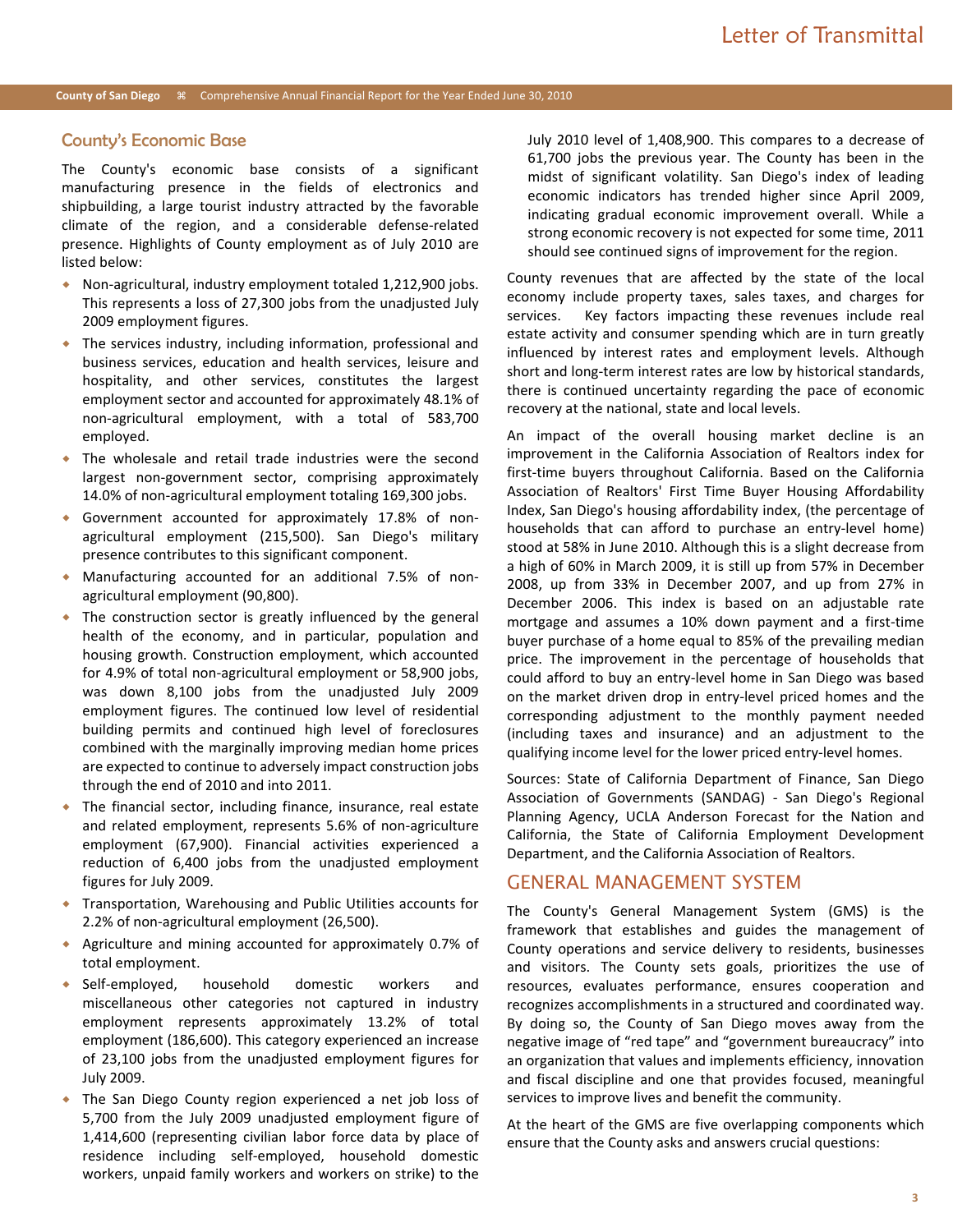#### County's Economic Base

The County's economic base consists of a significant manufacturing presence in the fields of electronics and shipbuilding, a large tourist industry attracted by the favorable climate of the region, and a considerable defense-related presence. Highlights of County employment as of July 2010 are listed below:

- Non-agricultural, industry employment totaled 1,212,900 jobs. This represents a loss of 27,300 jobs from the unadjusted July 2009 employment figures.
- The services industry, including information, professional and business services, education and health services, leisure and hospitality, and other services, constitutes the largest employment sector and accounted for approximately 48.1% of non-agricultural employment, with a total of 583,700 employed.
- The wholesale and retail trade industries were the second largest non-government sector, comprising approximately 14.0% of non-agricultural employment totaling 169,300 jobs.
- Government accounted for approximately 17.8% of nonagricultural employment (215,500). San Diego's military presence contributes to this significant component.
- Manufacturing accounted for an additional 7.5% of nonagricultural employment (90,800).
- The construction sector is greatly influenced by the general health of the economy, and in particular, population and housing growth. Construction employment, which accounted for 4.9% of total non-agricultural employment or 58,900 jobs, was down 8,100 jobs from the unadjusted July 2009 employment figures. The continued low level of residential building permits and continued high level of foreclosures combined with the marginally improving median home prices are expected to continue to adversely impact construction jobs through the end of 2010 and into 2011.
- The financial sector, including finance, insurance, real estate and related employment, represents 5.6% of non-agriculture employment (67,900). Financial activities experienced a reduction of 6,400 jobs from the unadjusted employment figures for July 2009.
- Transportation, Warehousing and Public Utilities accounts for 2.2% of non-agricultural employment (26,500).
- Agriculture and mining accounted for approximately 0.7% of total employment.
- Self-employed, household domestic workers and miscellaneous other categories not captured in industry employment represents approximately 13.2% of total employment (186,600). This category experienced an increase of 23,100 jobs from the unadjusted employment figures for July 2009.
- The San Diego County region experienced a net job loss of 5,700 from the July 2009 unadjusted employment figure of 1,414,600 (representing civilian labor force data by place of residence including self-employed, household domestic workers, unpaid family workers and workers on strike) to the

July 2010 level of 1,408,900. This compares to a decrease of 61,700 jobs the previous year. The County has been in the midst of significant volatility. San Diego's index of leading economic indicators has trended higher since April 2009, indicating gradual economic improvement overall. While a strong economic recovery is not expected for some time, 2011 should see continued signs of improvement for the region.

County revenues that are affected by the state of the local economy include property taxes, sales taxes, and charges for services. Key factors impacting these revenues include real estate activity and consumer spending which are in turn greatly influenced by interest rates and employment levels. Although short and long-term interest rates are low by historical standards, there is continued uncertainty regarding the pace of economic recovery at the national, state and local levels.

An impact of the overall housing market decline is an improvement in the California Association of Realtors index for first-time buyers throughout California. Based on the California Association of Realtors' First Time Buyer Housing Affordability Index, San Diego's housing affordability index, (the percentage of households that can afford to purchase an entry-level home) stood at 58% in June 2010. Although this is a slight decrease from a high of 60% in March 2009, it is still up from 57% in December 2008, up from 33% in December 2007, and up from 27% in December 2006. This index is based on an adjustable rate mortgage and assumes a 10% down payment and a first-time buyer purchase of a home equal to 85% of the prevailing median price. The improvement in the percentage of households that could afford to buy an entry-level home in San Diego was based on the market driven drop in entry-level priced homes and the corresponding adjustment to the monthly payment needed (including taxes and insurance) and an adjustment to the qualifying income level for the lower priced entry-level homes.

Sources: State of California Department of Finance, San Diego Association of Governments (SANDAG) - San Diego's Regional Planning Agency, UCLA Anderson Forecast for the Nation and California, the State of California Employment Development Department, and the California Association of Realtors.

## GENERAL MANAGEMENT SYSTEM

The County's General Management System (GMS) is the framework that establishes and guides the management of County operations and service delivery to residents, businesses and visitors. The County sets goals, prioritizes the use of resources, evaluates performance, ensures cooperation and recognizes accomplishments in a structured and coordinated way. By doing so, the County of San Diego moves away from the negative image of "red tape" and "government bureaucracy" into an organization that values and implements efficiency, innovation and fiscal discipline and one that provides focused, meaningful services to improve lives and benefit the community.

At the heart of the GMS are five overlapping components which ensure that the County asks and answers crucial questions: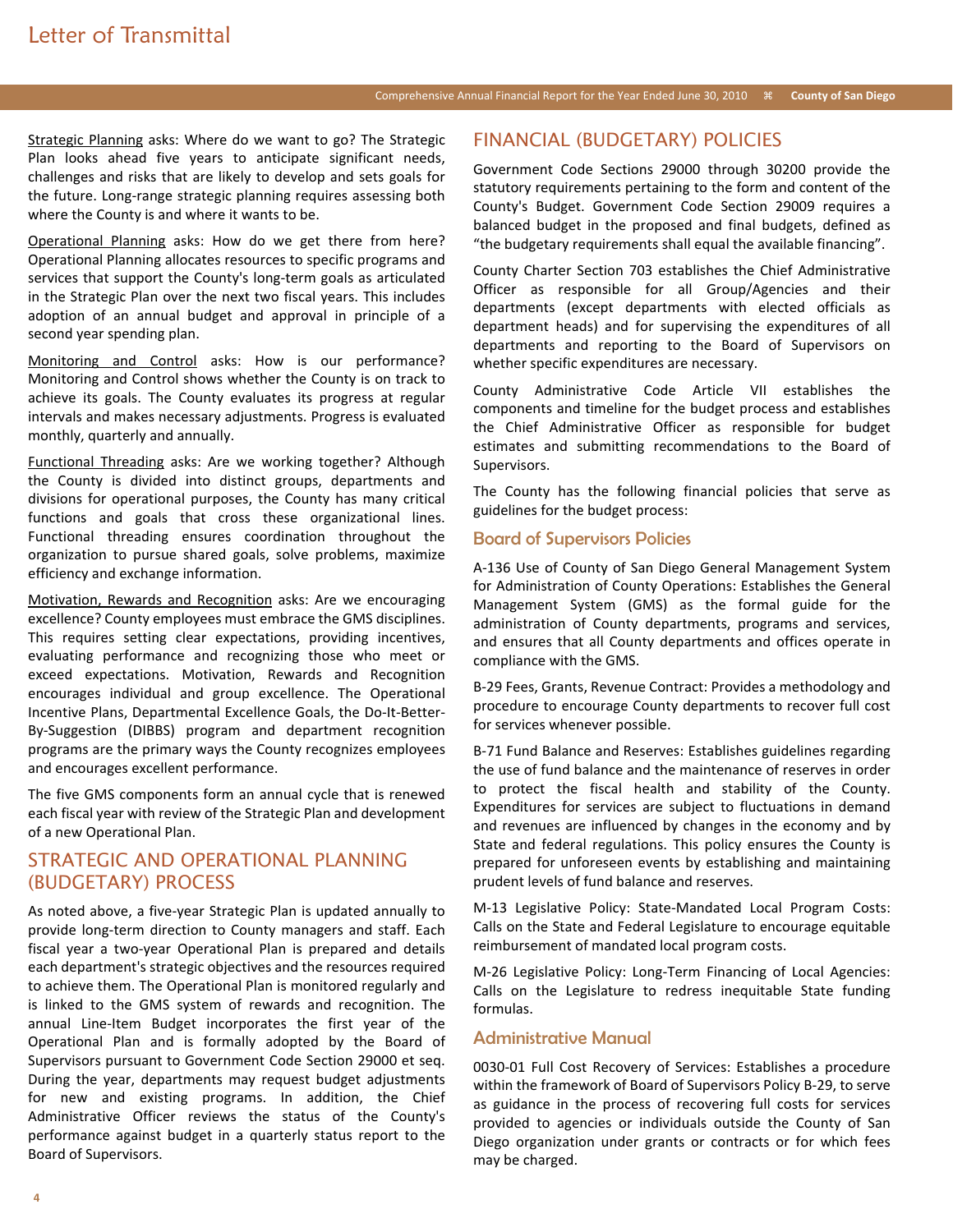### Comprehensive Annual Financial Report for the Year Ended June 30, 2010 **County of San Diego**

Strategic Planning asks: Where do we want to go? The Strategic Plan looks ahead five years to anticipate significant needs, challenges and risks that are likely to develop and sets goals for the future. Long-range strategic planning requires assessing both where the County is and where it wants to be.

Operational Planning asks: How do we get there from here? Operational Planning allocates resources to specific programs and services that support the County's long-term goals as articulated in the Strategic Plan over the next two fiscal years. This includes adoption of an annual budget and approval in principle of a second year spending plan.

Monitoring and Control asks: How is our performance? Monitoring and Control shows whether the County is on track to achieve its goals. The County evaluates its progress at regular intervals and makes necessary adjustments. Progress is evaluated monthly, quarterly and annually.

Functional Threading asks: Are we working together? Although the County is divided into distinct groups, departments and divisions for operational purposes, the County has many critical functions and goals that cross these organizational lines. Functional threading ensures coordination throughout the organization to pursue shared goals, solve problems, maximize efficiency and exchange information.

Motivation, Rewards and Recognition asks: Are we encouraging excellence? County employees must embrace the GMS disciplines. This requires setting clear expectations, providing incentives, evaluating performance and recognizing those who meet or exceed expectations. Motivation, Rewards and Recognition encourages individual and group excellence. The Operational Incentive Plans, Departmental Excellence Goals, the Do-It-Better-By-Suggestion (DIBBS) program and department recognition programs are the primary ways the County recognizes employees and encourages excellent performance.

The five GMS components form an annual cycle that is renewed each fiscal year with review of the Strategic Plan and development of a new Operational Plan.

## STRATEGIC AND OPERATIONAL PLANNING (BUDGETARY) PROCESS

As noted above, a five-year Strategic Plan is updated annually to provide long-term direction to County managers and staff. Each fiscal year a two-year Operational Plan is prepared and details each department's strategic objectives and the resources required to achieve them. The Operational Plan is monitored regularly and is linked to the GMS system of rewards and recognition. The annual Line-Item Budget incorporates the first year of the Operational Plan and is formally adopted by the Board of Supervisors pursuant to Government Code Section 29000 et seq. During the year, departments may request budget adjustments for new and existing programs. In addition, the Chief Administrative Officer reviews the status of the County's performance against budget in a quarterly status report to the Board of Supervisors.

## FINANCIAL (BUDGETARY) POLICIES

Government Code Sections 29000 through 30200 provide the statutory requirements pertaining to the form and content of the County's Budget. Government Code Section 29009 requires a balanced budget in the proposed and final budgets, defined as "the budgetary requirements shall equal the available financing".

County Charter Section 703 establishes the Chief Administrative Officer as responsible for all Group/Agencies and their departments (except departments with elected officials as department heads) and for supervising the expenditures of all departments and reporting to the Board of Supervisors on whether specific expenditures are necessary.

County Administrative Code Article VII establishes the components and timeline for the budget process and establishes the Chief Administrative Officer as responsible for budget estimates and submitting recommendations to the Board of Supervisors.

The County has the following financial policies that serve as guidelines for the budget process:

## Board of Supervisors Policies

A-136 Use of County of San Diego General Management System for Administration of County Operations: Establishes the General Management System (GMS) as the formal guide for the administration of County departments, programs and services, and ensures that all County departments and offices operate in compliance with the GMS.

B-29 Fees, Grants, Revenue Contract: Provides a methodology and procedure to encourage County departments to recover full cost for services whenever possible.

B-71 Fund Balance and Reserves: Establishes guidelines regarding the use of fund balance and the maintenance of reserves in order to protect the fiscal health and stability of the County. Expenditures for services are subject to fluctuations in demand and revenues are influenced by changes in the economy and by State and federal regulations. This policy ensures the County is prepared for unforeseen events by establishing and maintaining prudent levels of fund balance and reserves.

M-13 Legislative Policy: State-Mandated Local Program Costs: Calls on the State and Federal Legislature to encourage equitable reimbursement of mandated local program costs.

M-26 Legislative Policy: Long-Term Financing of Local Agencies: Calls on the Legislature to redress inequitable State funding formulas.

#### Administrative Manual

0030-01 Full Cost Recovery of Services: Establishes a procedure within the framework of Board of Supervisors Policy B-29, to serve as guidance in the process of recovering full costs for services provided to agencies or individuals outside the County of San Diego organization under grants or contracts or for which fees may be charged.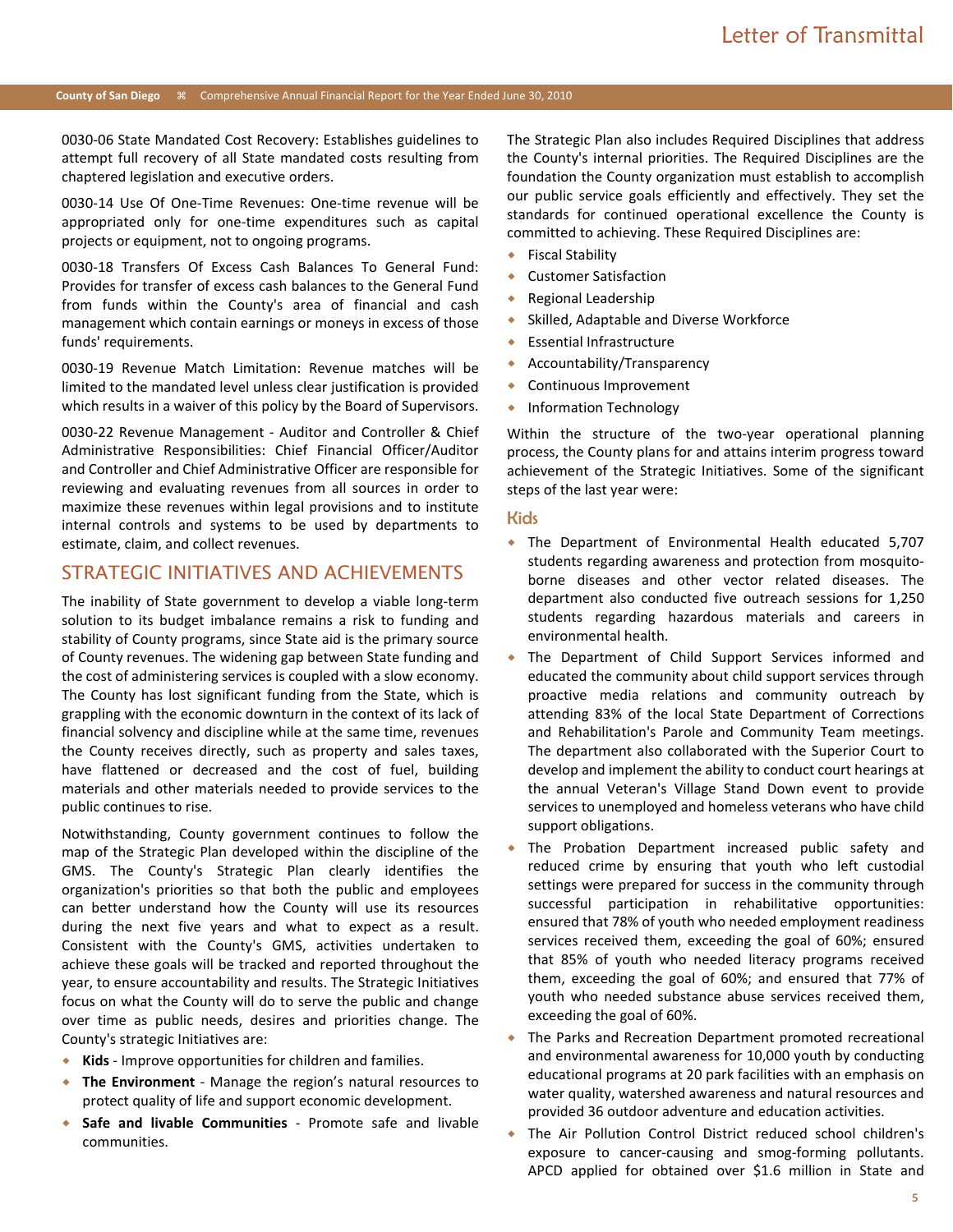#### **County of San Diego** Comprehensive Annual Financial Report for the Year Ended June 30, 2010

0030-06 State Mandated Cost Recovery: Establishes guidelines to attempt full recovery of all State mandated costs resulting from chaptered legislation and executive orders.

0030-14 Use Of One-Time Revenues: One-time revenue will be appropriated only for one-time expenditures such as capital projects or equipment, not to ongoing programs.

0030-18 Transfers Of Excess Cash Balances To General Fund: Provides for transfer of excess cash balances to the General Fund from funds within the County's area of financial and cash management which contain earnings or moneys in excess of those funds' requirements.

0030-19 Revenue Match Limitation: Revenue matches will be limited to the mandated level unless clear justification is provided which results in a waiver of this policy by the Board of Supervisors.

0030-22 Revenue Management - Auditor and Controller & Chief Administrative Responsibilities: Chief Financial Officer/Auditor and Controller and Chief Administrative Officer are responsible for reviewing and evaluating revenues from all sources in order to maximize these revenues within legal provisions and to institute internal controls and systems to be used by departments to estimate, claim, and collect revenues.

## STRATEGIC INITIATIVES AND ACHIEVEMENTS

The inability of State government to develop a viable long-term solution to its budget imbalance remains a risk to funding and stability of County programs, since State aid is the primary source of County revenues. The widening gap between State funding and the cost of administering services is coupled with a slow economy. The County has lost significant funding from the State, which is grappling with the economic downturn in the context of its lack of financial solvency and discipline while at the same time, revenues the County receives directly, such as property and sales taxes, have flattened or decreased and the cost of fuel, building materials and other materials needed to provide services to the public continues to rise.

Notwithstanding, County government continues to follow the map of the Strategic Plan developed within the discipline of the GMS. The County's Strategic Plan clearly identifies the organization's priorities so that both the public and employees can better understand how the County will use its resources during the next five years and what to expect as a result. Consistent with the County's GMS, activities undertaken to achieve these goals will be tracked and reported throughout the year, to ensure accountability and results. The Strategic Initiatives focus on what the County will do to serve the public and change over time as public needs, desires and priorities change. The County's strategic Initiatives are:

- **Kids** Improve opportunities for children and families.
- **The Environment** Manage the region's natural resources to protect quality of life and support economic development.
- **Safe and livable Communities** Promote safe and livable communities.

The Strategic Plan also includes Required Disciplines that address the County's internal priorities. The Required Disciplines are the foundation the County organization must establish to accomplish our public service goals efficiently and effectively. They set the standards for continued operational excellence the County is committed to achieving. These Required Disciplines are:

- ◆ Fiscal Stability
- Customer Satisfaction
- Regional Leadership
- Skilled, Adaptable and Diverse Workforce
- Essential Infrastructure
- Accountability/Transparency
- Continuous Improvement
- Information Technology

Within the structure of the two-year operational planning process, the County plans for and attains interim progress toward achievement of the Strategic Initiatives. Some of the significant steps of the last year were:

#### Kids

- The Department of Environmental Health educated 5,707 students regarding awareness and protection from mosquitoborne diseases and other vector related diseases. The department also conducted five outreach sessions for 1,250 students regarding hazardous materials and careers in environmental health.
- The Department of Child Support Services informed and educated the community about child support services through proactive media relations and community outreach by attending 83% of the local State Department of Corrections and Rehabilitation's Parole and Community Team meetings. The department also collaborated with the Superior Court to develop and implement the ability to conduct court hearings at the annual Veteran's Village Stand Down event to provide services to unemployed and homeless veterans who have child support obligations.
- The Probation Department increased public safety and reduced crime by ensuring that youth who left custodial settings were prepared for success in the community through successful participation in rehabilitative opportunities: ensured that 78% of youth who needed employment readiness services received them, exceeding the goal of 60%; ensured that 85% of youth who needed literacy programs received them, exceeding the goal of 60%; and ensured that 77% of youth who needed substance abuse services received them, exceeding the goal of 60%.
- The Parks and Recreation Department promoted recreational and environmental awareness for 10,000 youth by conducting educational programs at 20 park facilities with an emphasis on water quality, watershed awareness and natural resources and provided 36 outdoor adventure and education activities.
- The Air Pollution Control District reduced school children's exposure to cancer-causing and smog-forming pollutants. APCD applied for obtained over \$1.6 million in State and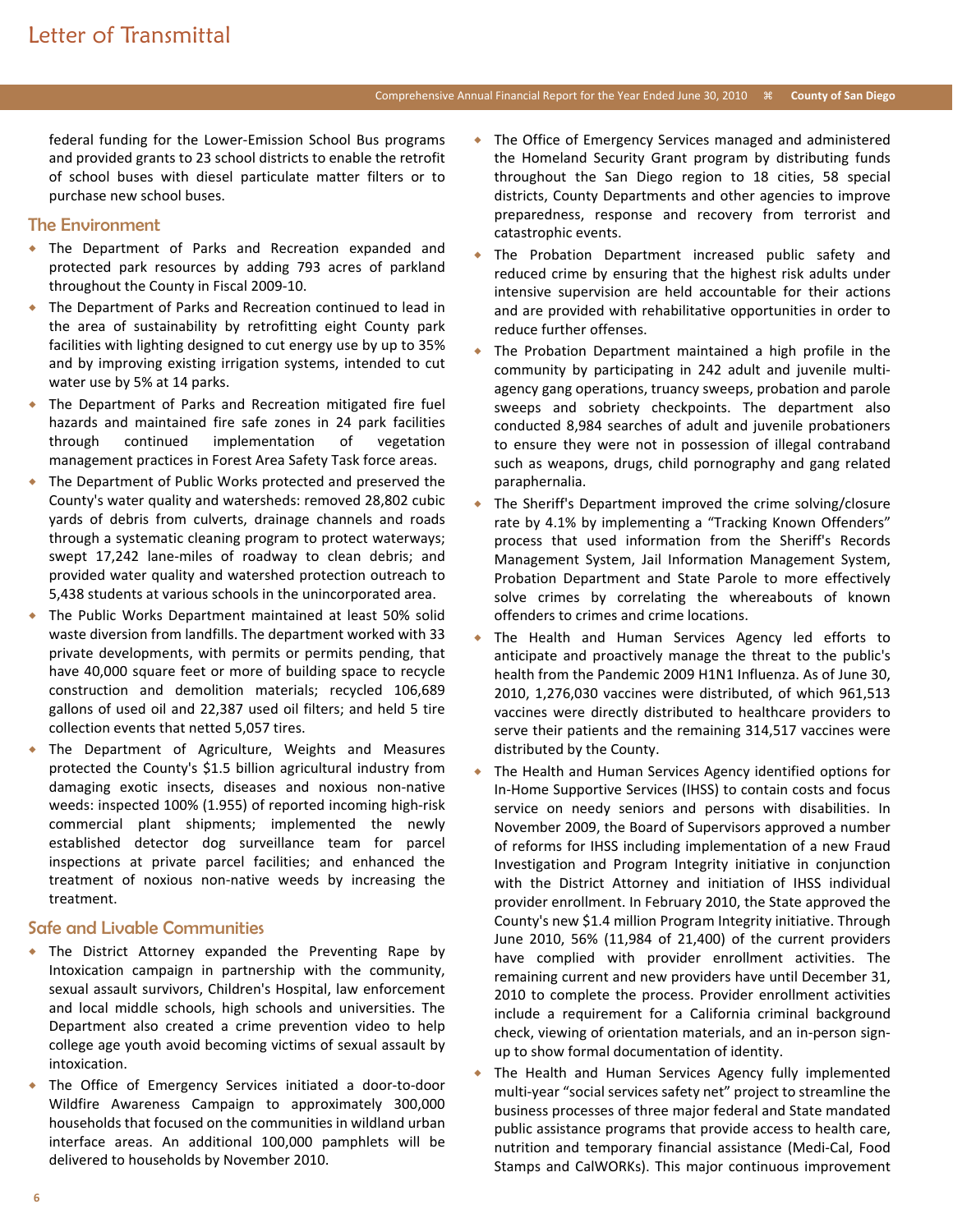### Comprehensive Annual Financial Report for the Year Ended June 30, 2010 **County of San Diego**

federal funding for the Lower-Emission School Bus programs and provided grants to 23 school districts to enable the retrofit of school buses with diesel particulate matter filters or to purchase new school buses.

## The Environment

- The Department of Parks and Recreation expanded and protected park resources by adding 793 acres of parkland throughout the County in Fiscal 2009-10.
- The Department of Parks and Recreation continued to lead in the area of sustainability by retrofitting eight County park facilities with lighting designed to cut energy use by up to 35% and by improving existing irrigation systems, intended to cut water use by 5% at 14 parks.
- The Department of Parks and Recreation mitigated fire fuel hazards and maintained fire safe zones in 24 park facilities through continued implementation of vegetation management practices in Forest Area Safety Task force areas.
- The Department of Public Works protected and preserved the County's water quality and watersheds: removed 28,802 cubic yards of debris from culverts, drainage channels and roads through a systematic cleaning program to protect waterways; swept 17,242 lane-miles of roadway to clean debris; and provided water quality and watershed protection outreach to 5,438 students at various schools in the unincorporated area.
- The Public Works Department maintained at least 50% solid waste diversion from landfills. The department worked with 33 private developments, with permits or permits pending, that have 40,000 square feet or more of building space to recycle construction and demolition materials; recycled 106,689 gallons of used oil and 22,387 used oil filters; and held 5 tire collection events that netted 5,057 tires.
- The Department of Agriculture, Weights and Measures protected the County's \$1.5 billion agricultural industry from damaging exotic insects, diseases and noxious non-native weeds: inspected 100% (1.955) of reported incoming high-risk commercial plant shipments; implemented the newly established detector dog surveillance team for parcel inspections at private parcel facilities; and enhanced the treatment of noxious non-native weeds by increasing the treatment.

## Safe and Livable Communities

- The District Attorney expanded the Preventing Rape by Intoxication campaign in partnership with the community, sexual assault survivors, Children's Hospital, law enforcement and local middle schools, high schools and universities. The Department also created a crime prevention video to help college age youth avoid becoming victims of sexual assault by intoxication.
- The Office of Emergency Services initiated a door-to-door Wildfire Awareness Campaign to approximately 300,000 households that focused on the communities in wildland urban interface areas. An additional 100,000 pamphlets will be delivered to households by November 2010.
- The Office of Emergency Services managed and administered the Homeland Security Grant program by distributing funds throughout the San Diego region to 18 cities, 58 special districts, County Departments and other agencies to improve preparedness, response and recovery from terrorist and catastrophic events.
- The Probation Department increased public safety and reduced crime by ensuring that the highest risk adults under intensive supervision are held accountable for their actions and are provided with rehabilitative opportunities in order to reduce further offenses.
- The Probation Department maintained a high profile in the community by participating in 242 adult and juvenile multiagency gang operations, truancy sweeps, probation and parole sweeps and sobriety checkpoints. The department also conducted 8,984 searches of adult and juvenile probationers to ensure they were not in possession of illegal contraband such as weapons, drugs, child pornography and gang related paraphernalia.
- The Sheriff's Department improved the crime solving/closure rate by 4.1% by implementing a "Tracking Known Offenders" process that used information from the Sheriff's Records Management System, Jail Information Management System, Probation Department and State Parole to more effectively solve crimes by correlating the whereabouts of known offenders to crimes and crime locations.
- The Health and Human Services Agency led efforts to anticipate and proactively manage the threat to the public's health from the Pandemic 2009 H1N1 Influenza. As of June 30, 2010, 1,276,030 vaccines were distributed, of which 961,513 vaccines were directly distributed to healthcare providers to serve their patients and the remaining 314,517 vaccines were distributed by the County.
- The Health and Human Services Agency identified options for In-Home Supportive Services (IHSS) to contain costs and focus service on needy seniors and persons with disabilities. In November 2009, the Board of Supervisors approved a number of reforms for IHSS including implementation of a new Fraud Investigation and Program Integrity initiative in conjunction with the District Attorney and initiation of IHSS individual provider enrollment. In February 2010, the State approved the County's new \$1.4 million Program Integrity initiative. Through June 2010, 56% (11,984 of 21,400) of the current providers have complied with provider enrollment activities. The remaining current and new providers have until December 31, 2010 to complete the process. Provider enrollment activities include a requirement for a California criminal background check, viewing of orientation materials, and an in-person signup to show formal documentation of identity.
- The Health and Human Services Agency fully implemented multi-year "social services safety net" project to streamline the business processes of three major federal and State mandated public assistance programs that provide access to health care, nutrition and temporary financial assistance (Medi-Cal, Food Stamps and CalWORKs). This major continuous improvement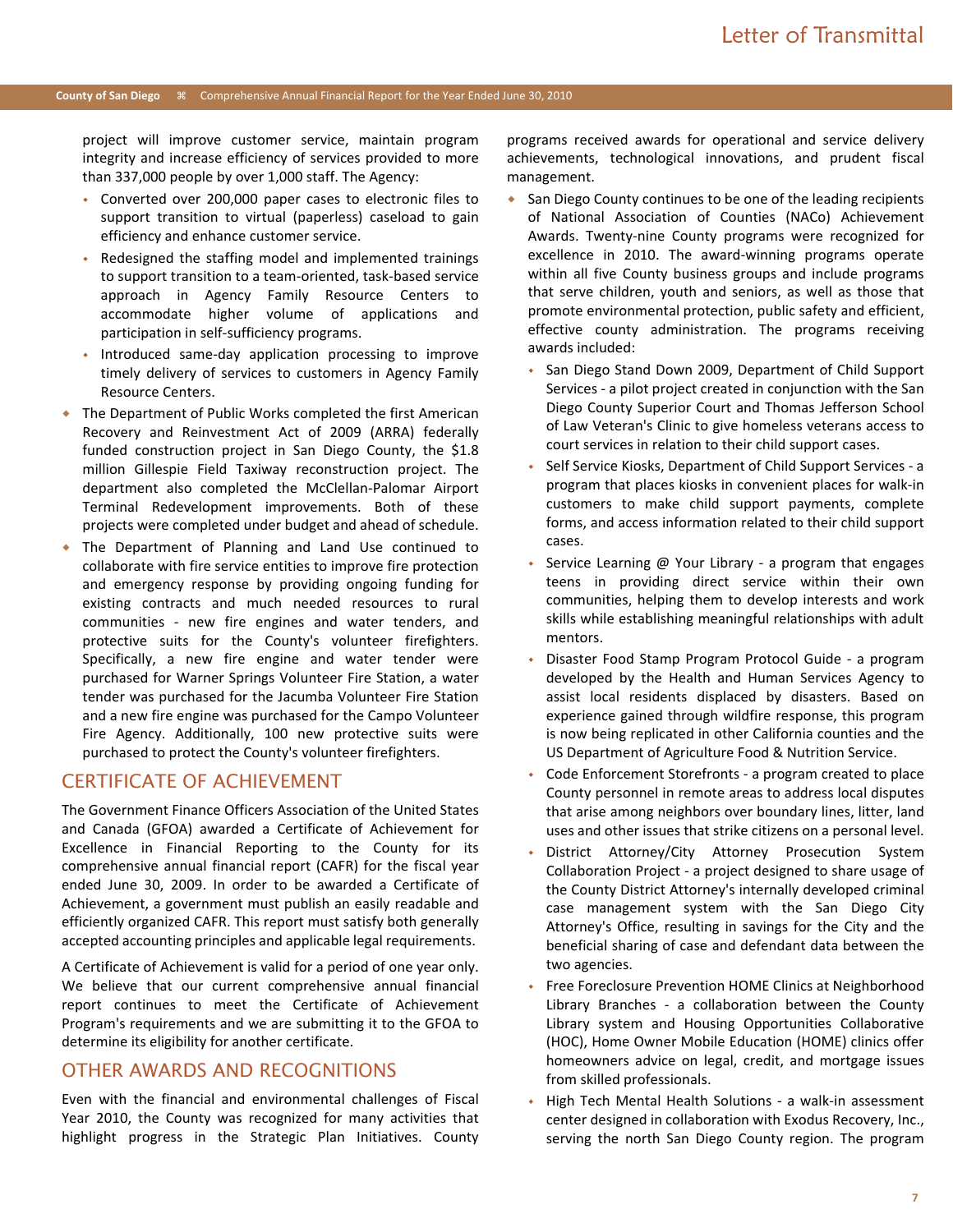#### **County of San Diego** Comprehensive Annual Financial Report for the Year Ended June 30, 2010

project will improve customer service, maintain program integrity and increase efficiency of services provided to more than 337,000 people by over 1,000 staff. The Agency:

- Converted over 200,000 paper cases to electronic files to support transition to virtual (paperless) caseload to gain efficiency and enhance customer service.
- Redesigned the staffing model and implemented trainings to support transition to a team-oriented, task-based service approach in Agency Family Resource Centers to accommodate higher volume of applications and participation in self-sufficiency programs.
- Introduced same-day application processing to improve timely delivery of services to customers in Agency Family Resource Centers.
- The Department of Public Works completed the first American Recovery and Reinvestment Act of 2009 (ARRA) federally funded construction project in San Diego County, the \$1.8 million Gillespie Field Taxiway reconstruction project. The department also completed the McClellan-Palomar Airport Terminal Redevelopment improvements. Both of these projects were completed under budget and ahead of schedule.
- The Department of Planning and Land Use continued to collaborate with fire service entities to improve fire protection and emergency response by providing ongoing funding for existing contracts and much needed resources to rural communities - new fire engines and water tenders, and protective suits for the County's volunteer firefighters. Specifically, a new fire engine and water tender were purchased for Warner Springs Volunteer Fire Station, a water tender was purchased for the Jacumba Volunteer Fire Station and a new fire engine was purchased for the Campo Volunteer Fire Agency. Additionally, 100 new protective suits were purchased to protect the County's volunteer firefighters.

## CERTIFICATE OF ACHIEVEMENT

The Government Finance Officers Association of the United States and Canada (GFOA) awarded a Certificate of Achievement for Excellence in Financial Reporting to the County for its comprehensive annual financial report (CAFR) for the fiscal year ended June 30, 2009. In order to be awarded a Certificate of Achievement, a government must publish an easily readable and efficiently organized CAFR. This report must satisfy both generally accepted accounting principles and applicable legal requirements.

A Certificate of Achievement is valid for a period of one year only. We believe that our current comprehensive annual financial report continues to meet the Certificate of Achievement Program's requirements and we are submitting it to the GFOA to determine its eligibility for another certificate.

## OTHER AWARDS AND RECOGNITIONS

Even with the financial and environmental challenges of Fiscal Year 2010, the County was recognized for many activities that highlight progress in the Strategic Plan Initiatives. County programs received awards for operational and service delivery achievements, technological innovations, and prudent fiscal management.

- ◆ San Diego County continues to be one of the leading recipients of National Association of Counties (NACo) Achievement Awards. Twenty-nine County programs were recognized for excellence in 2010. The award-winning programs operate within all five County business groups and include programs that serve children, youth and seniors, as well as those that promote environmental protection, public safety and efficient, effective county administration. The programs receiving awards included:
	- San Diego Stand Down 2009, Department of Child Support Services - a pilot project created in conjunction with the San Diego County Superior Court and Thomas Jefferson School of Law Veteran's Clinic to give homeless veterans access to court services in relation to their child support cases.
	- Self Service Kiosks, Department of Child Support Services a program that places kiosks in convenient places for walk-in customers to make child support payments, complete forms, and access information related to their child support cases.
	- Service Learning @ Your Library a program that engages teens in providing direct service within their own communities, helping them to develop interests and work skills while establishing meaningful relationships with adult mentors.
	- Disaster Food Stamp Program Protocol Guide a program developed by the Health and Human Services Agency to assist local residents displaced by disasters. Based on experience gained through wildfire response, this program is now being replicated in other California counties and the US Department of Agriculture Food & Nutrition Service.
	- Code Enforcement Storefronts a program created to place County personnel in remote areas to address local disputes that arise among neighbors over boundary lines, litter, land uses and other issues that strike citizens on a personal level.
	- District Attorney/City Attorney Prosecution System Collaboration Project - a project designed to share usage of the County District Attorney's internally developed criminal case management system with the San Diego City Attorney's Office, resulting in savings for the City and the beneficial sharing of case and defendant data between the two agencies.
	- Free Foreclosure Prevention HOME Clinics at Neighborhood Library Branches - a collaboration between the County Library system and Housing Opportunities Collaborative (HOC), Home Owner Mobile Education (HOME) clinics offer homeowners advice on legal, credit, and mortgage issues from skilled professionals.
	- High Tech Mental Health Solutions a walk-in assessment center designed in collaboration with Exodus Recovery, Inc., serving the north San Diego County region. The program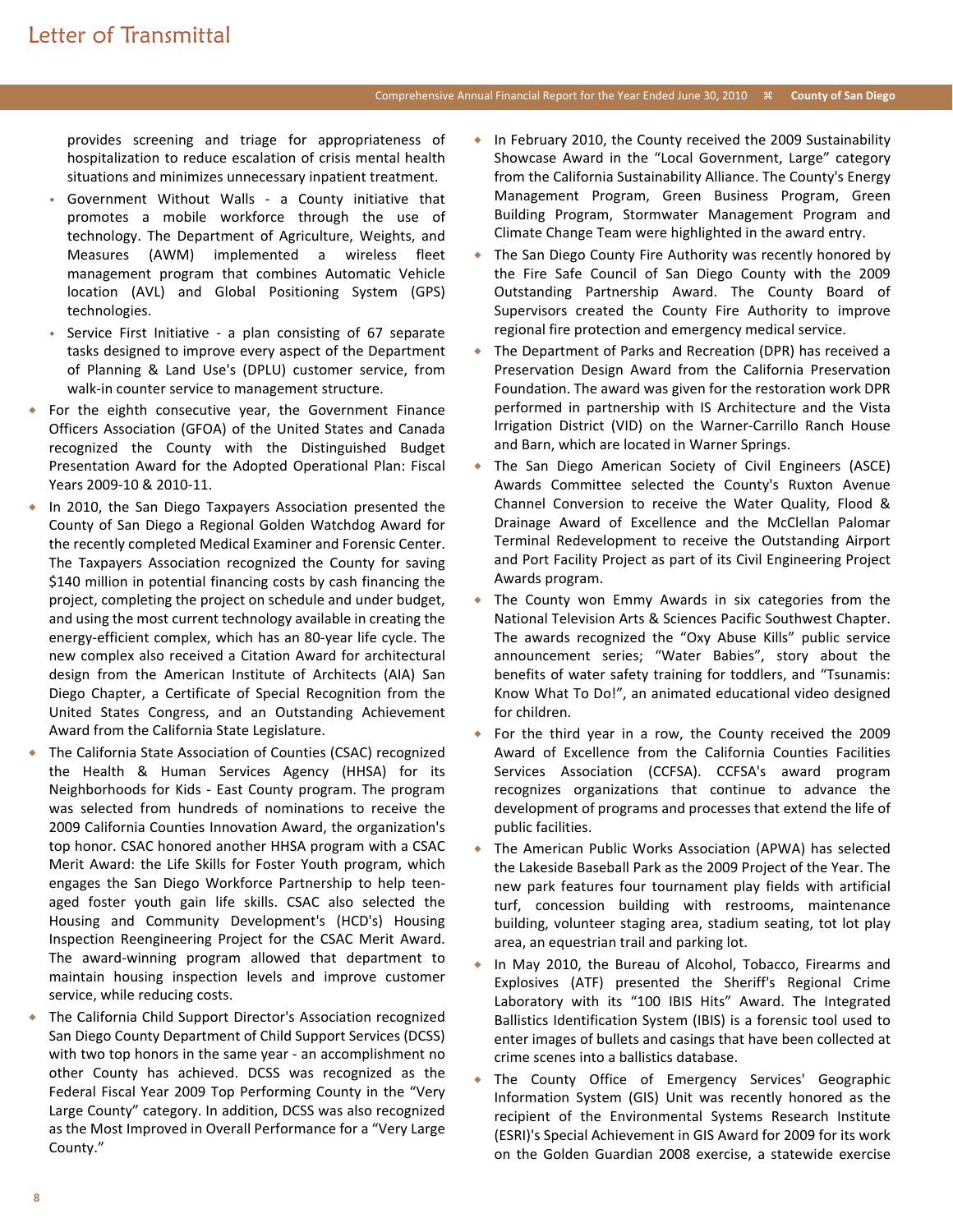## Comprehensive Annual Financial Report for the Year Ended June 30, 2010 **County of San Diego**

provides screening and triage for appropriateness of hospitalization to reduce escalation of crisis mental health situations and minimizes unnecessary inpatient treatment.

- Government Without Walls a County initiative that promotes a mobile workforce through the use of technology. The Department of Agriculture, Weights, and Measures (AWM) implemented a wireless fleet management program that combines Automatic Vehicle location (AVL) and Global Positioning System (GPS) technologies.
- Service First Initiative a plan consisting of 67 separate tasks designed to improve every aspect of the Department of Planning & Land Use's (DPLU) customer service, from walk-in counter service to management structure.
- For the eighth consecutive year, the Government Finance Officers Association (GFOA) of the United States and Canada recognized the County with the Distinguished Budget Presentation Award for the Adopted Operational Plan: Fiscal Years 2009-10 & 2010-11.
- ◆ In 2010, the San Diego Taxpayers Association presented the County of San Diego a Regional Golden Watchdog Award for the recently completed Medical Examiner and Forensic Center. The Taxpayers Association recognized the County for saving \$140 million in potential financing costs by cash financing the project, completing the project on schedule and under budget, and using the most current technology available in creating the energy-efficient complex, which has an 80-year life cycle. The new complex also received a Citation Award for architectural design from the American Institute of Architects (AIA) San Diego Chapter, a Certificate of Special Recognition from the United States Congress, and an Outstanding Achievement Award from the California State Legislature.
- The California State Association of Counties (CSAC) recognized the Health & Human Services Agency (HHSA) for its Neighborhoods for Kids - East County program. The program was selected from hundreds of nominations to receive the 2009 California Counties Innovation Award, the organization's top honor. CSAC honored another HHSA program with a CSAC Merit Award: the Life Skills for Foster Youth program, which engages the San Diego Workforce Partnership to help teenaged foster youth gain life skills. CSAC also selected the Housing and Community Development's (HCD's) Housing Inspection Reengineering Project for the CSAC Merit Award. The award-winning program allowed that department to maintain housing inspection levels and improve customer service, while reducing costs.
- The California Child Support Director's Association recognized San Diego County Department of Child Support Services (DCSS) with two top honors in the same year - an accomplishment no other County has achieved. DCSS was recognized as the Federal Fiscal Year 2009 Top Performing County in the "Very Large County" category. In addition, DCSS was also recognized as the Most Improved in Overall Performance for a "Very Large County."
- In February 2010, the County received the 2009 Sustainability Showcase Award in the "Local Government, Large" category from the California Sustainability Alliance. The County's Energy Management Program, Green Business Program, Green Building Program, Stormwater Management Program and Climate Change Team were highlighted in the award entry.
- The San Diego County Fire Authority was recently honored by the Fire Safe Council of San Diego County with the 2009 Outstanding Partnership Award. The County Board of Supervisors created the County Fire Authority to improve regional fire protection and emergency medical service.
- The Department of Parks and Recreation (DPR) has received a Preservation Design Award from the California Preservation Foundation. The award was given for the restoration work DPR performed in partnership with IS Architecture and the Vista Irrigation District (VID) on the Warner-Carrillo Ranch House and Barn, which are located in Warner Springs.
- The San Diego American Society of Civil Engineers (ASCE) Awards Committee selected the County's Ruxton Avenue Channel Conversion to receive the Water Quality, Flood & Drainage Award of Excellence and the McClellan Palomar Terminal Redevelopment to receive the Outstanding Airport and Port Facility Project as part of its Civil Engineering Project Awards program.
- The County won Emmy Awards in six categories from the National Television Arts & Sciences Pacific Southwest Chapter. The awards recognized the "Oxy Abuse Kills" public service announcement series; "Water Babies", story about the benefits of water safety training for toddlers, and "Tsunamis: Know What To Do!", an animated educational video designed for children.
- For the third year in a row, the County received the 2009 Award of Excellence from the California Counties Facilities Services Association (CCFSA). CCFSA's award program recognizes organizations that continue to advance the development of programs and processes that extend the life of public facilities.
- The American Public Works Association (APWA) has selected the Lakeside Baseball Park as the 2009 Project of the Year. The new park features four tournament play fields with artificial turf, concession building with restrooms, maintenance building, volunteer staging area, stadium seating, tot lot play area, an equestrian trail and parking lot.
- In May 2010, the Bureau of Alcohol, Tobacco, Firearms and Explosives (ATF) presented the Sheriff's Regional Crime Laboratory with its "100 IBIS Hits" Award. The Integrated Ballistics Identification System (IBIS) is a forensic tool used to enter images of bullets and casings that have been collected at crime scenes into a ballistics database.
- The County Office of Emergency Services' Geographic Information System (GIS) Unit was recently honored as the recipient of the Environmental Systems Research Institute (ESRI)'s Special Achievement in GIS Award for 2009 for its work on the Golden Guardian 2008 exercise, a statewide exercise